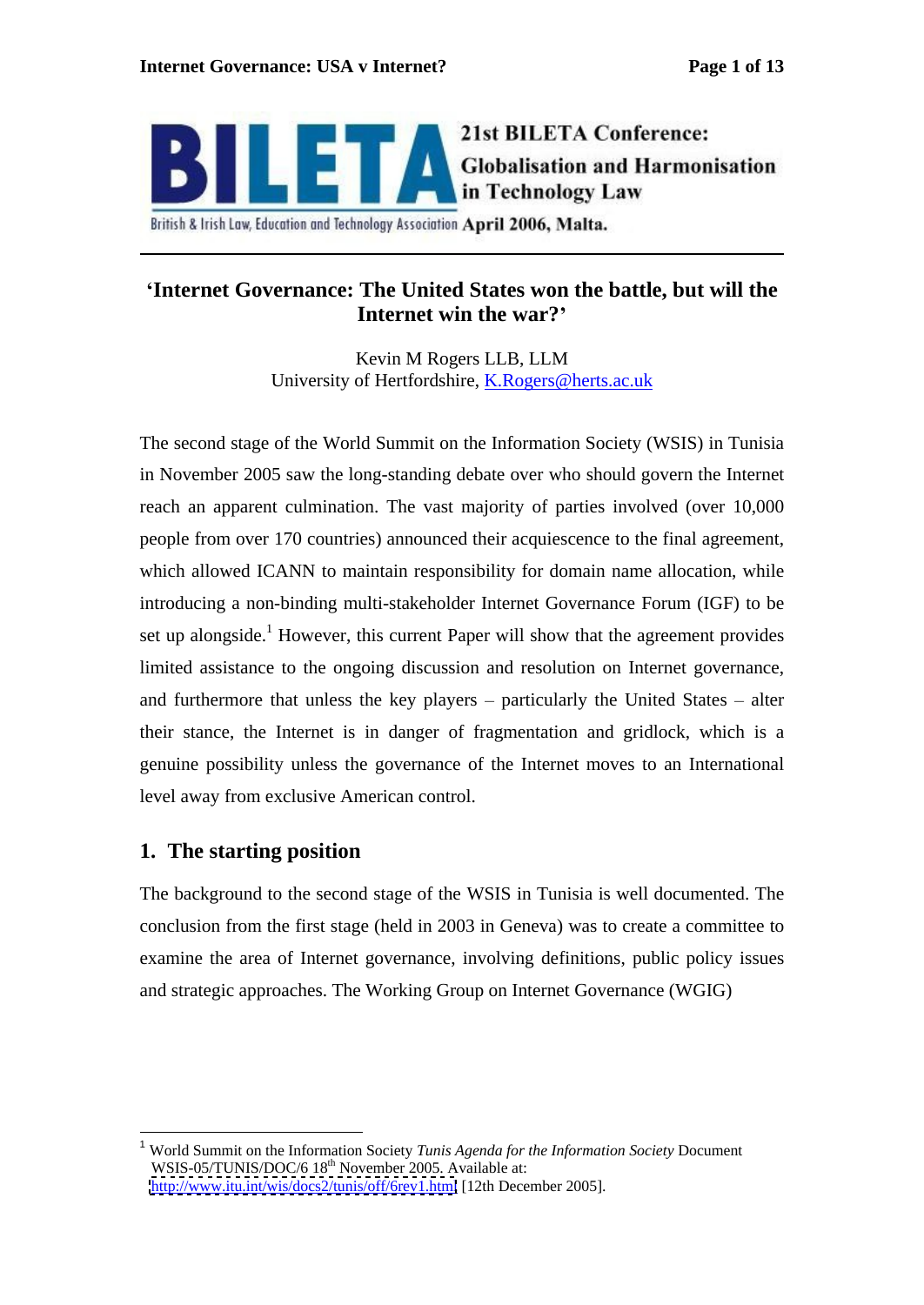

#### British & Irish Law, Education and Technology Association April 2006, Malta.

# **Internet Governance: The United States won the battle, but will the Internet win the war?**

Kevin M Rogers LLB, LLM University of Hertfordshire, K.Rogers@herts.ac.uk

The second stage of the World Summit on the Information Society (WSIS) in Tunisia in November 2005 saw the long-standing debate over who should govern the Internet reach an apparent culmination. The vast majority of parties involved (over 10,000 people from over 170 countries) announced their acquiescence to the final agreement, which allowed ICANN to maintain responsibility for domain name allocation, while introducing a non-binding multi-stakeholder Internet Governance Forum (IGF) to be set up alongside.<sup>1</sup> However, this current Paper will show that the agreement provides limited assistance to the ongoing discussion and resolution on Internet governance, and furthermore that unless the key players  $-$  particularly the United States  $-$  alter their stance, the Internet is in danger of fragmentation and gridlock, which is a genuine possibility unless the governance of the Internet moves to an International level away from exclusive American control.

## **1. The starting position**

The background to the second stage of the WSIS in Tunisia is well documented. The conclusion from the first stage (held in 2003 in Geneva) was to create a committee to examine the area of Internet governance, involving definitions, public policy issues and strategic approaches. The Working Group on Internet Governance (WGIG)

<sup>1</sup> World Summit on the Information Society *Tunis Agenda for the Information Society* Document WSIS-05/TUNIS/DOC/6 18<sup>th</sup> November 2005. Available at: <http://www.itu.int/wis/docs2/tunis/off/6rev1.html> [12th December 2005].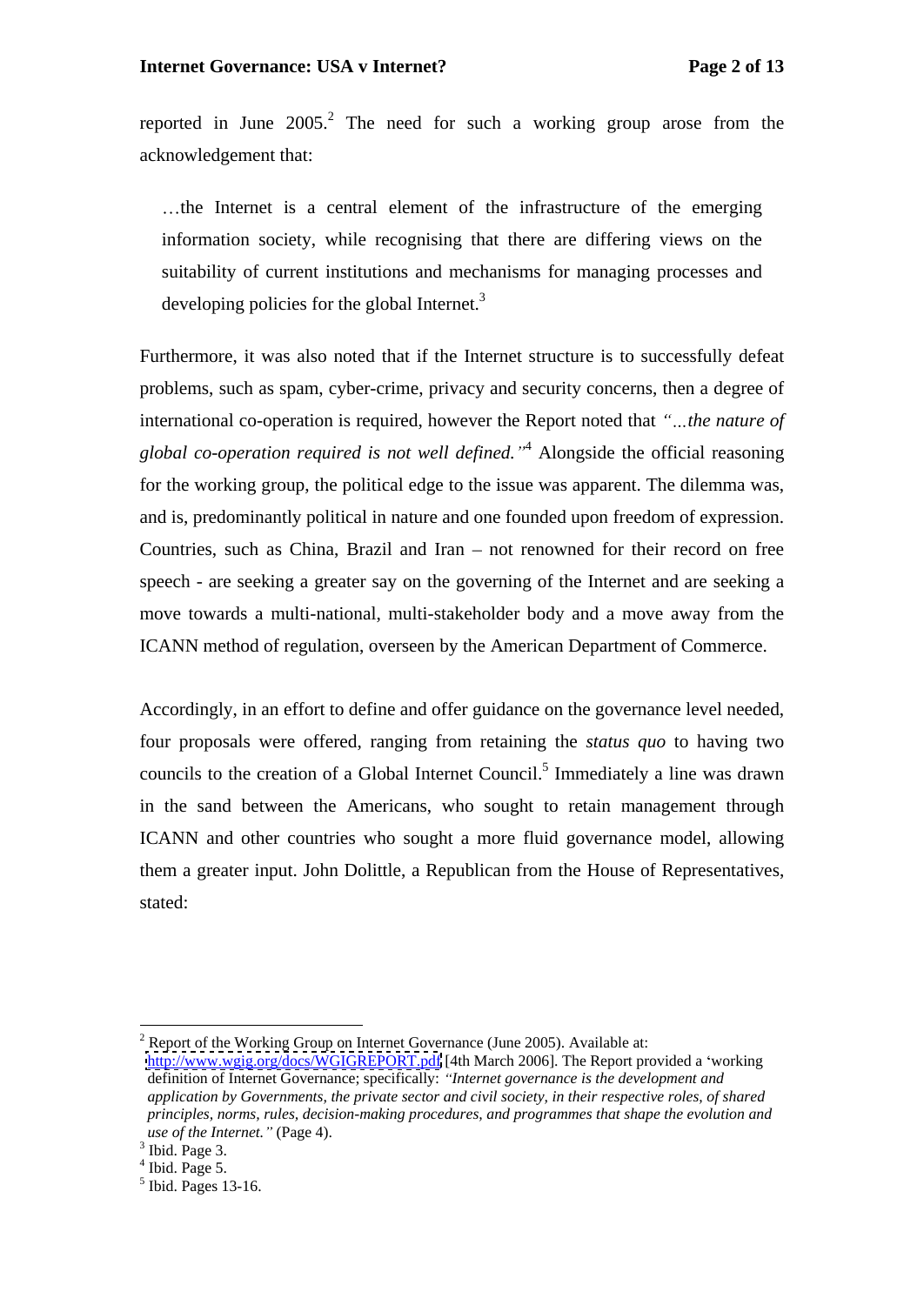reported in June  $2005<sup>2</sup>$ . The need for such a working group arose from the acknowledgement that:

...the Internet is a central element of the infrastructure of the emerging information society, while recognising that there are differing views on the suitability of current institutions and mechanisms for managing processes and developing policies for the global Internet. $3$ 

Furthermore, it was also noted that if the Internet structure is to successfully defeat problems, such as spam, cyber-crime, privacy and security concerns, then a degree of international co-operation is required, however the Report noted that "...the nature of *global co-operation required is not well defined.* <sup>4</sup> Alongside the official reasoning for the working group, the political edge to the issue was apparent. The dilemma was, and is, predominantly political in nature and one founded upon freedom of expression. Countries, such as China, Brazil and Iran  $-$  not renowned for their record on free speech - are seeking a greater say on the governing of the Internet and are seeking a move towards a multi-national, multi-stakeholder body and a move away from the ICANN method of regulation, overseen by the American Department of Commerce.

Accordingly, in an effort to define and offer guidance on the governance level needed, four proposals were offered, ranging from retaining the *status quo* to having two councils to the creation of a Global Internet Council.<sup>5</sup> Immediately a line was drawn in the sand between the Americans, who sought to retain management through ICANN and other countries who sought a more fluid governance model, allowing them a greater input. John Dolittle, a Republican from the House of Representatives, stated: take the state of the state of the state of the state of the state of the state of the state of the state of the state of the state of the state of the state of the state of the state of the state of the state of t

<sup>&</sup>lt;sup>2</sup> Report of the Working Group on Internet Governance (June 2005). Available at: <http://www.wgig.org/docs/WGIGREPORT.pdf> [4th March 2006]. The Report provided a 'working definition of Internet Governance; specifically: *Internet governance is the development and application by Governments, the private sector and civil society, in their respective roles, of shared principles, norms, rules, decision-making procedures, and programmes that shape the evolution and use of the Internet.*" (Page 4).  $\frac{3 \text{ I}}{2}$  in  $\frac{3 \text{ I}}{2}$  and  $\frac{3 \text{ I}}{2}$  and  $\frac{3 \text{ I}}{2}$  and  $\frac{3 \text{ I}}{2}$  and  $\frac{3 \text{ I}}{2}$  and  $\frac{3 \text{ I}}{2}$  and  $\frac{3 \text{ I}}{2}$  and  $\frac{3 \text{ I}}{2}$  and  $\frac{3 \text{ I}}{2}$  an

 $\frac{1}{10}$  Thid. Page 3.  $\frac{1}{100}$  Page 3.

<sup>&</sup>lt;sup>4</sup> Ibid. Page 5.  $\frac{5}{16}$  Fibid. Page 5.

 $<sup>5</sup>$  Ibid. Pages 13-16.</sup>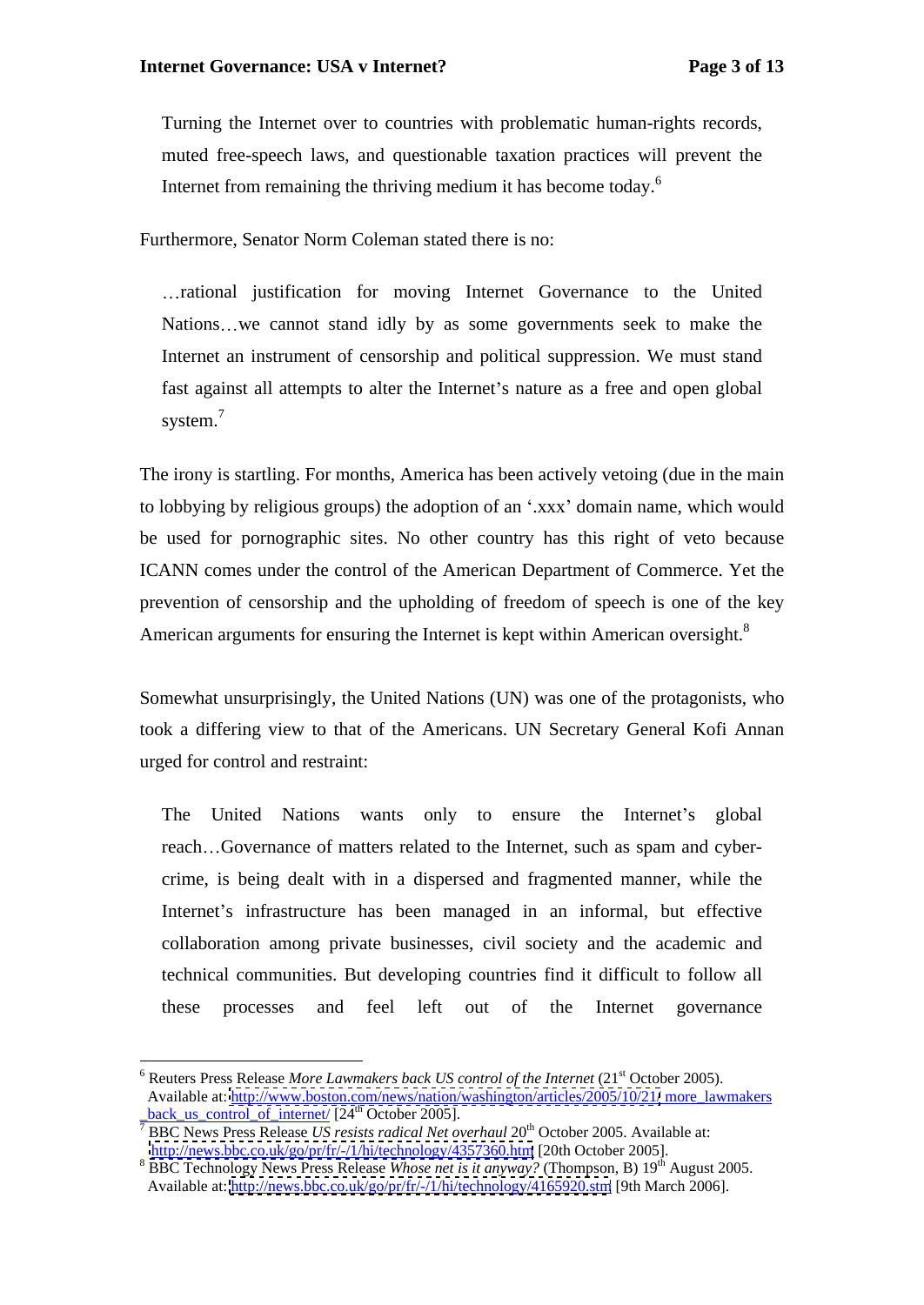Turning the Internet over to countries with problematic human-rights records, muted free-speech laws, and questionable taxation practices will prevent the Internet from remaining the thriving medium it has become today.<sup>6</sup>

Furthermore, Senator Norm Coleman stated there is no:

... rational justification for moving Internet Governance to the United Nations...we cannot stand idly by as some governments seek to make the Internet an instrument of censorship and political suppression. We must stand fast against all attempts to alter the Internet's nature as a free and open global system.<sup>7</sup>

The irony is startling. For months, America has been actively vetoing (due in the main to lobbying by religious groups) the adoption of an '.xxx' domain name, which would be used for pornographic sites. No other country has this right of veto because ICANN comes under the control of the American Department of Commerce. Yet the prevention of censorship and the upholding of freedom of speech is one of the key American arguments for ensuring the Internet is kept within American oversight.<sup>8</sup>

Somewhat unsurprisingly, the United Nations (UN) was one of the protagonists, who took a differing view to that of the Americans. UN Secretary General Kofi Annan urged for control and restraint:

The United Nations wants only to ensure the Internet's global reach...Governance of matters related to the Internet, such as spam and cybercrime, is being dealt with in a dispersed and fragmented manner, while the Internet's infrastructure has been managed in an informal, but effective collaboration among private businesses, civil society and the academic and technical communities. But developing countries find it difficult to follow all these processes and feel left out of the Internet governance

<sup>&</sup>lt;sup>6</sup> Reuters Press Release *More Lawmakers back US control of the Internet* (21<sup>st</sup> October 2005). Available at:<http://www.boston.com/news/nation/washington/articles/2005/10/21/> more\_lawmakers\_back\_us\_control\_of\_internet/ [24<sup>th</sup> October 2005].

\_back\_us\_control\_of\_internet/ [24th October 2005]. 7 BBC News Press Release *US resists radical Net overhaul* 20th October 2005. Available at: <http://news.bbc.co.uk/go/pr/fr/-/1/hi/technology/4357360.htm> [20th October 2005].

<sup>&</sup>lt;sup>8</sup> BBC Technology News Press Release *Whose net is it anyway?* (Thompson, B) 19<sup>th</sup> August 2005. Available at:<http://news.bbc.co.uk/go/pr/fr/-/1/hi/technology/4165920.stm> [9th March 2006].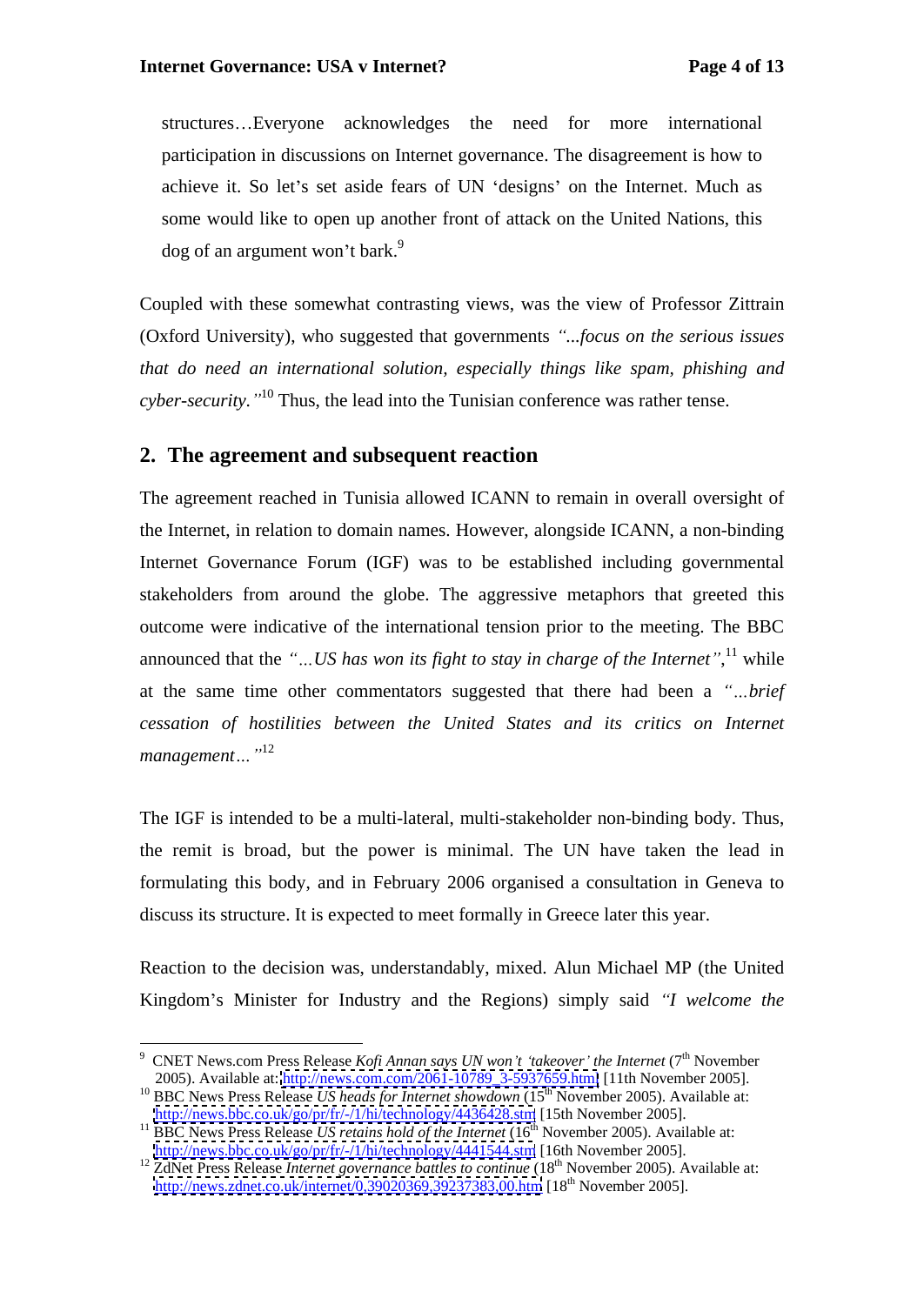structures...Everyone acknowledges the need for more international participation in discussions on Internet governance. The disagreement is how to achieve it. So let's set aside fears of UN 'designs' on the Internet. Much as some would like to open up another front of attack on the United Nations, this dog of an argument won't bark.<sup>9</sup>

Coupled with these somewhat contrasting views, was the view of Professor Zittrain (Oxford University), who suggested that governments *...focus on the serious issues that do need an international solution, especially things like spam, phishing and cyber-security.* <sup>10</sup> Thus, the lead into the Tunisian conference was rather tense.

#### **2. The agreement and subsequent reaction**

The agreement reached in Tunisia allowed ICANN to remain in overall oversight of the Internet, in relation to domain names. However, alongside ICANN, a non-binding Internet Governance Forum (IGF) was to be established including governmental stakeholders from around the globe. The aggressive metaphors that greeted this outcome were indicative of the international tension prior to the meeting. The BBC announced that the "...US has won its fight to stay in charge of the Internet",  $\frac{11}{11}$  while while **the set of the set of the set of the set of the set of the set of the set of the set of the set of the set of the set of the set of the set of the set of the set of the set of the set of the set of the set of the se** at the same time other commentators suggested that there had been a "...brief *cessation of hostilities between the United States and its critics on Internet*  $m$ anagement...<sup>212</sup>

The IGF is intended to be a multi-lateral, multi-stakeholder non-binding body. Thus, the remit is broad, but the power is minimal. The UN have taken the lead in formulating this body, and in February 2006 organised a consultation in Geneva to discuss its structure. It is expected to meet formally in Greece later this year.

Reaction to the decision was, understandably, mixed. Alun Michael MP (the United Kingdom s Minister for Industry and the Regions) simply said *I welcome the*

<sup>&</sup>lt;sup>9</sup> CNET News.com Press Release *Kofi Annan says UN won't 'takeover' the Internet* (7<sup>th</sup> November 2005). Available at: http://news.com.com/2061-10789 3-5937659.html [11th November 2005].

<sup>&</sup>lt;sup>10</sup> BBC News Press Release *US heads for Internet showdown* (15<sup>th</sup> November 2005). Available at:<br>http://news.bbc.co.uk/go/pr/fr/-/1/hi/technology/4436428.stm [15th November 2005].

http://news.bbc.co.uk/go/pr/fr/-/1/hi/technology/4441544.stm [16th November 2005). Available at:<br>http://news.bbc.co.uk/go/pr/fr/-/1/hi/technology/4441544.stm [16th November 2005].

<sup>&</sup>lt;sup>12</sup> ZdNet Press Release *Internet governance battles to continue* (18<sup>th</sup> November 2005). Available at: <http://news.zdnet.co.uk/internet/0,39020369,39237383,00.htm> [18<sup>th</sup> November 2005].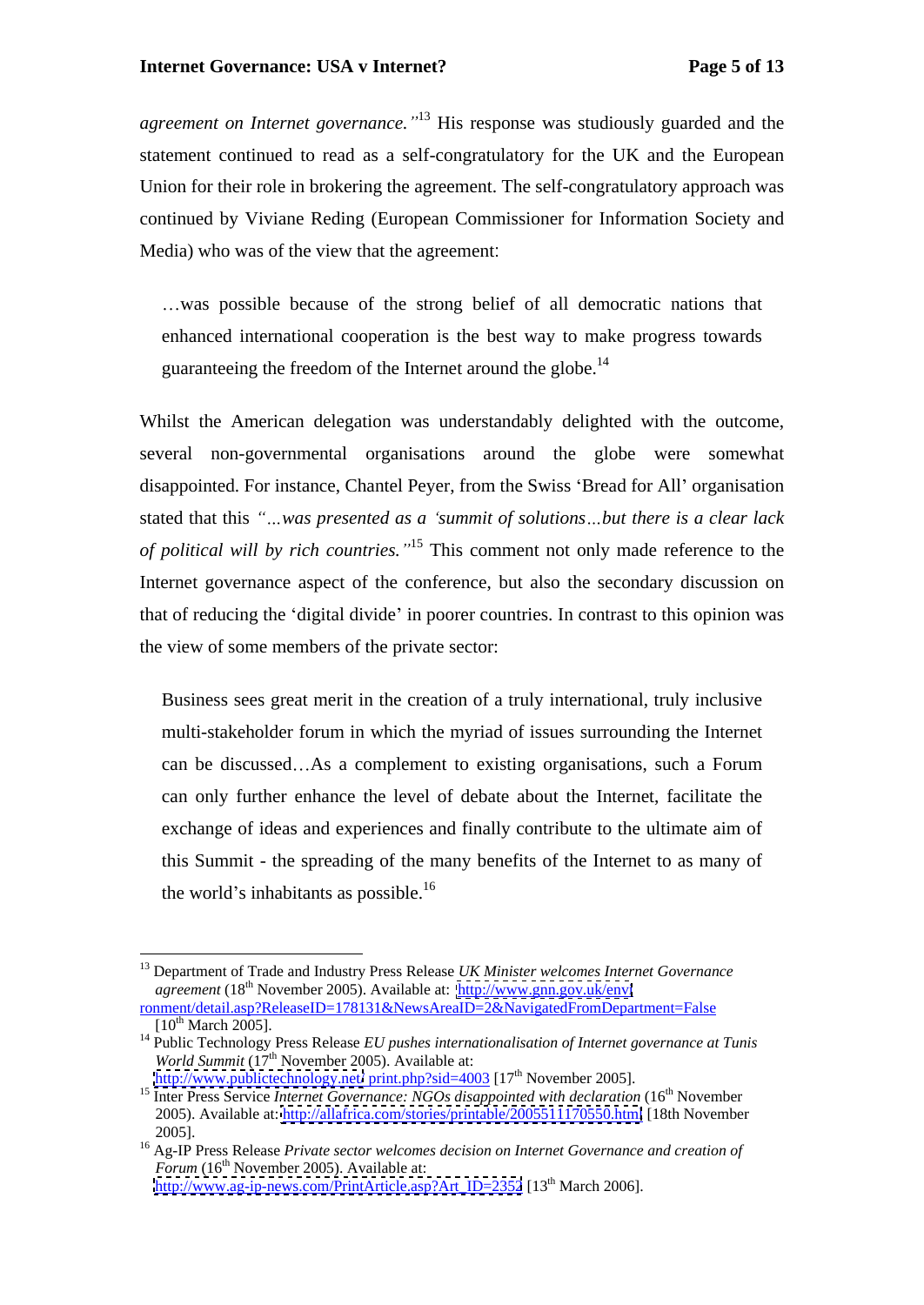*agreement on Internet governance.* <sup>13</sup> His response was studiously guarded and the statement continued to read as a self-congratulatory for the UK and the European Union for their role in brokering the agreement. The self-congratulatory approach was continued by Viviane Reding (European Commissioner for Information Society and Media) who was of the view that the agreement:

was possible because of the strong belief of all democratic nations that enhanced international cooperation is the best way to make progress towards guaranteeing the freedom of the Internet around the globe.<sup>14</sup>

Whilst the American delegation was understandably delighted with the outcome, several non-governmental organisations around the globe were somewhat disappointed. For instance, Chantel Peyer, from the Swiss 'Bread for All' organisation stated that this *was presented as a summit of solutions but there is a clear lack of political will by rich countries.* <sup>15</sup> This comment not only made reference to the Internet governance aspect of the conference, but also the secondary discussion on that of reducing the 'digital divide' in poorer countries. In contrast to this opinion was the view of some members of the private sector:

Business sees great merit in the creation of a truly international, truly inclusive multi-stakeholder forum in which the myriad of issues surrounding the Internet can be discussed...As a complement to existing organisations, such a Forum can only further enhance the level of debate about the Internet, facilitate the exchange of ideas and experiences and finally contribute to the ultimate aim of this Summit - the spreading of the many benefits of the Internet to as many of the world's inhabitants as possible.<sup>16</sup>

 <sup>13</sup> Department of Trade and Industry Press Release *UK Minister welcomes Internet Governance agreement* (18<sup>th</sup> November 2005). Available at: <http://www.gnn.gov.uk/envi> ronment/detail.asp?ReleaseID=178131&NewsAreaID=2&NavigatedFromDepartment=False [10<sup>th</sup> March 2005].

<sup>&</sup>lt;sup>14</sup> Public Technology Press Release *EU pushes internationalisation of Internet governance at Tunis World Summit*  $(17<sup>th</sup>$  November 2005). Available at:<br>
<u>http://www.publictechnology</u>.net/ print.php?sid=4003  $[17<sup>th</sup>$  November 2005].

<sup>&</sup>lt;sup>15</sup> Inter Press Service *Internet Governance: NGOs disappointed with declaration* (16<sup>th</sup> November 2005). Available at:<http://allafrica.com/stories/printable/2005511170550.html> [18th November

 <sup>2005]. 16</sup> Ag-IP Press Release *Private sector welcomes decision on Internet Governance and creation of Forum* (16<sup>th</sup> November 2005). Available at: [http://www.ag-ip-news.com/PrintArticle.asp?Art\\_ID=2352](http://www.ag-ip-news.com/PrintArticle.asp?Art_ID=2352) [13<sup>th</sup> March 2006].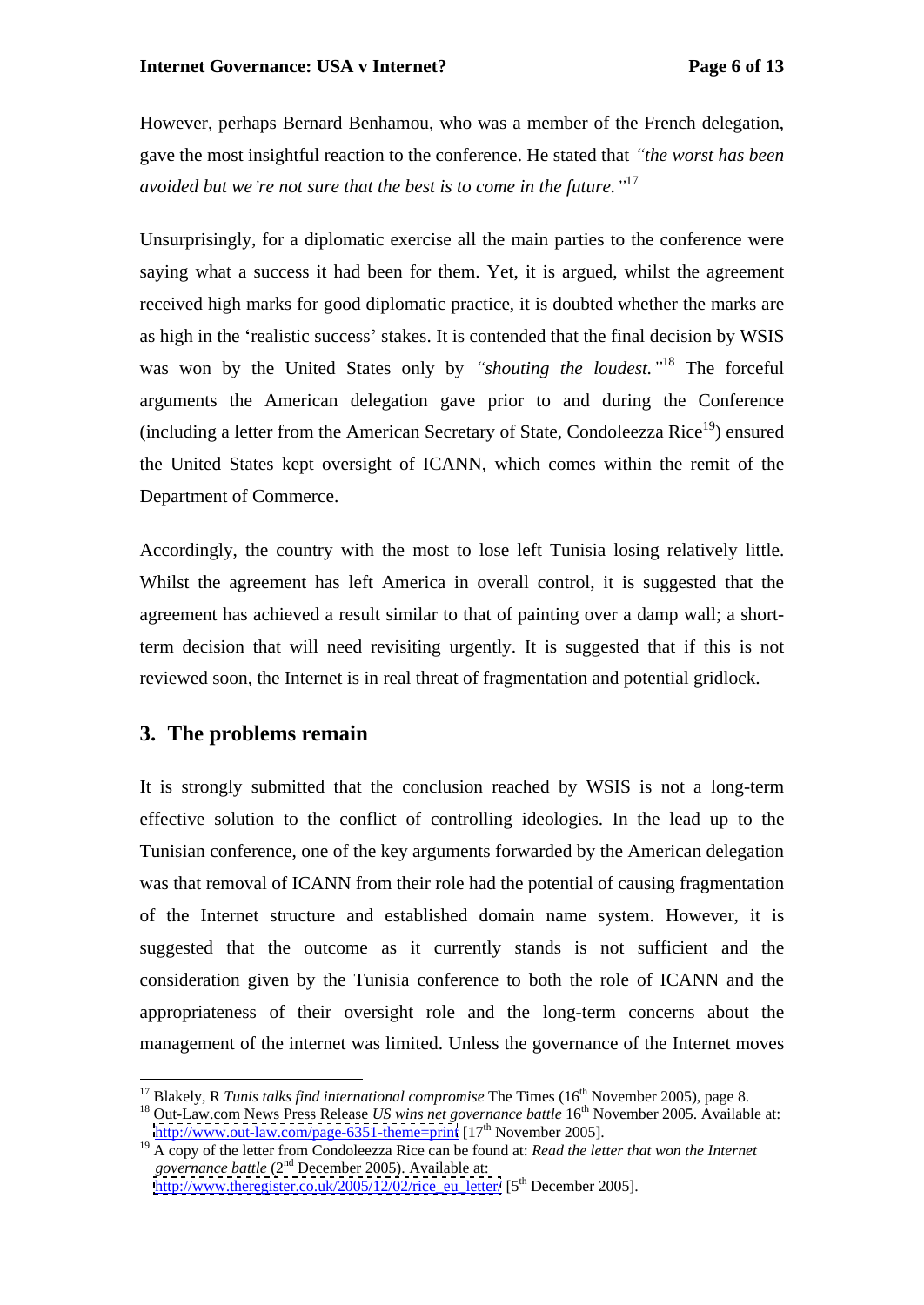However, perhaps Bernard Benhamou, who was a member of the French delegation, gave the most insightful reaction to the conference. He stated that *the worst has been avoided but we re not sure that the best is to come in the future.* <sup>17</sup>

Unsurprisingly, for a diplomatic exercise all the main parties to the conference were saying what a success it had been for them. Yet, it is argued, whilst the agreement received high marks for good diplomatic practice, it is doubted whether the marks are as high in the 'realistic success' stakes. It is contended that the final decision by WSIS was won by the United States only by "*shouting the loudest*."<sup>18</sup> The forceful arguments the American delegation gave prior to and during the Conference (including a letter from the American Secretary of State, Condoleezza Rice<sup>19</sup>) ensured the United States kept oversight of ICANN, which comes within the remit of the Department of Commerce.

Accordingly, the country with the most to lose left Tunisia losing relatively little. Whilst the agreement has left America in overall control, it is suggested that the agreement has achieved a result similar to that of painting over a damp wall; a shortterm decision that will need revisiting urgently. It is suggested that if this is not reviewed soon, the Internet is in real threat of fragmentation and potential gridlock.

## **3. The problems remain**

It is strongly submitted that the conclusion reached by WSIS is not a long-term effective solution to the conflict of controlling ideologies. In the lead up to the Tunisian conference, one of the key arguments forwarded by the American delegation was that removal of ICANN from their role had the potential of causing fragmentation of the Internet structure and established domain name system. However, it is suggested that the outcome as it currently stands is not sufficient and the consideration given by the Tunisia conference to both the role of ICANN and the appropriateness of their oversight role and the long-term concerns about the management of the internet was limited. Unless the governance of the Internet moves

<sup>&</sup>lt;sup>17</sup> Blakely, R *Tunis talks find international compromise* The Times (16<sup>th</sup> November 2005), page 8.<br><sup>18</sup> Out-Law.com News Press Release *US wins net governance battle* 16<sup>th</sup> November 2005. Available at: <http://www.out-law.com/page-6351-theme=print> [17<sup>th</sup> November 2005].

<sup>19</sup> A copy of the letter from Condoleezza Rice can be found at: *Read the letter that won the Internet* governance battle (2<sup>nd</sup> December 2005). Available at: [http://www.theregister.co.uk/2005/12/02/rice\\_eu\\_letter/](http://www.theregister.co.uk/2005/12/02/rice_eu_letter/)  $[5<sup>th</sup> December 2005]$ .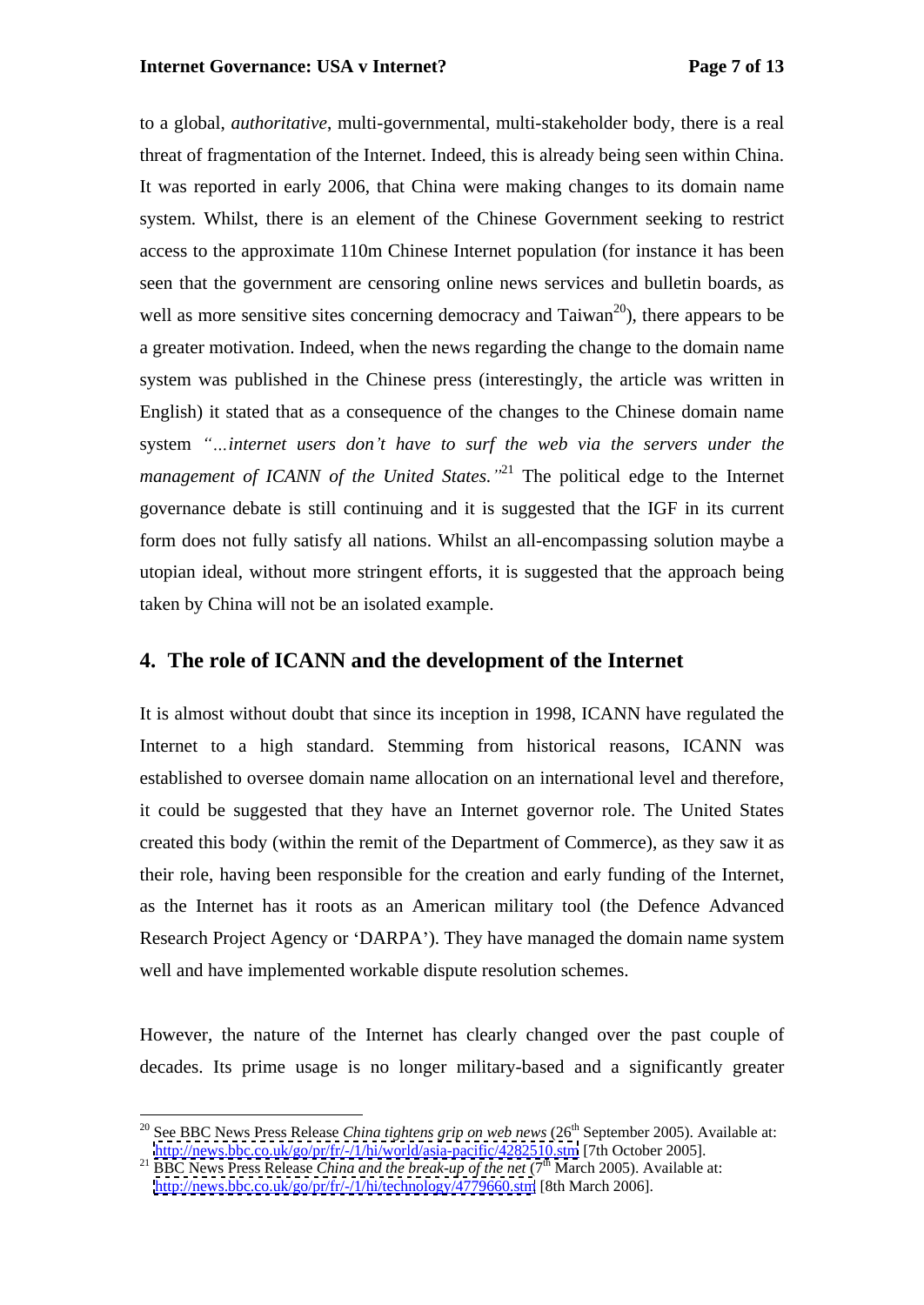to a global, *authoritative*, multi-governmental, multi-stakeholder body, there is a real threat of fragmentation of the Internet. Indeed, this is already being seen within China. It was reported in early 2006, that China were making changes to its domain name system. Whilst, there is an element of the Chinese Government seeking to restrict access to the approximate 110m Chinese Internet population (for instance it has been seen that the government are censoring online news services and bulletin boards, as well as more sensitive sites concerning democracy and  $T$ aiwan<sup>20</sup>), there appears to be a greater motivation. Indeed, when the news regarding the change to the domain name system was published in the Chinese press (interestingly, the article was written in English) it stated that as a consequence of the changes to the Chinese domain name system *internet users don t have to surf the web via theservers under the management of ICANN of the United States.*  $^{21}$  The political edge to the Internet governance debate is still continuing and it is suggested that the IGF in its current form does not fully satisfy all nations. Whilst an all-encompassing solution maybe a utopian ideal, without more stringent efforts, it is suggested that the approach being taken by China will not be an isolated example.

### **4. The role of ICANN and the development of the Internet**

It is almost without doubt that since its inception in 1998, ICANN have regulated the Internet to a high standard. Stemming from historical reasons, ICANN was established to oversee domain name allocation on an international level and therefore, it could be suggested that they have an Internet governor role. The United States created this body (within the remit of the Department of Commerce), as they saw it as their role, having been responsible for the creation and early funding of the Internet, as the Internet has it roots as an American military tool (the Defence Advanced Research Project Agency or 'DARPA'). They have managed the domain name system well and have implemented workable dispute resolution schemes.

However, the nature of the Internet has clearly changed over the past couple of decades. Its prime usage is no longer military-based and a significantly greater

<sup>&</sup>lt;sup>20</sup> See BBC News Press Release *China tightens grip on web news* (26<sup>th</sup> September 2005). Available at:<br>http://news.bbc.co.uk/go/pr/fr/-/1/hi/world/asia-pacific/4282510.stm [7th October 2005].

<sup>&</sup>lt;sup>21</sup> BBC News Press Release *China and the break-up of the net* (7<sup>th</sup> March 2005). Available at: <http://news.bbc.co.uk/go/pr/fr/-/1/hi/technology/4779660.stm> [8th March 2006].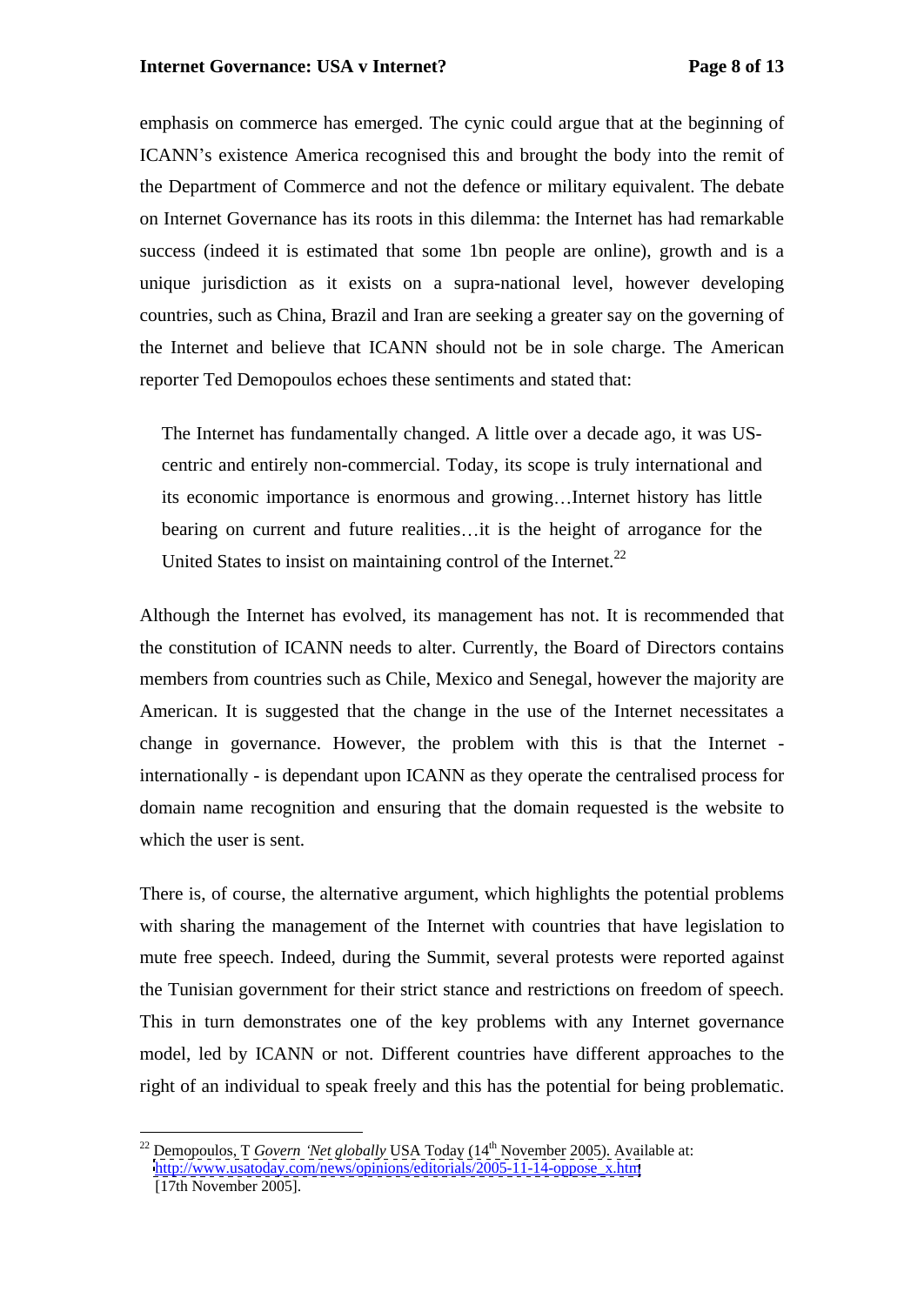emphasis on commerce has emerged. The cynic could argue that at the beginning of ICANN's existence America recognised this and brought the body into the remit of the Department of Commerce and not the defence or military equivalent. The debate on Internet Governance has its roots in this dilemma: the Internet has had remarkable success (indeed it is estimated that some 1bn people are online), growth and is a unique jurisdiction as it exists on a supra-national level, however developing countries, such as China, Brazil and Iran are seeking a greater say on the governing of the Internet and believe that ICANN should not be in sole charge. The American reporter Ted Demopoulos echoes these sentiments and stated that:

The Internet has fundamentally changed. A little over a decade ago, it was US centric and entirely non-commercial. Today, its scope is truly international and its economic importance is enormous and growing...Internet history has little bearing on current and future realities...it is the height of arrogance for the United States to insist on maintaining control of the Internet.<sup>22</sup>

Although the Internet has evolved, its management has not. It is recommended that the constitution of ICANN needs to alter. Currently, the Board of Directors contains members from countries such as Chile, Mexico and Senegal, however the majority are American. It is suggested that the change in the use of the Internet necessitates a change in governance. However, the problem with this is that the Internet internationally - is dependant upon ICANN as they operate the centralised process for domain name recognition and ensuring that the domain requested is the website to

which the user is sent.<br>There is, of course, the alternative argument, which highlights the potential problems with sharing the management of the Internet with countries that have legislation to mute free speech. Indeed, during the Summit, several protests were reported against the Tunisian government for their strict stance and restrictions on freedom of speech. This in turn demonstrates one of the key problems with any Internet governance model, led by ICANN or not. Different countries have different approaches to the right of an individual to speak freely and this has the potential for being problematic.

<sup>&</sup>lt;sup>22</sup> Demopoulos, T *Govern 'Net globally* USA Today (14<sup>th</sup> November 2005). Available at: [http://www.usatoday.com/news/opinions/editorials/2005-11-14-oppose\\_x.htm](http://www.usatoday.com/news/opinions/editorials/2005-11-14-oppose_x.htm) [17th November 2005].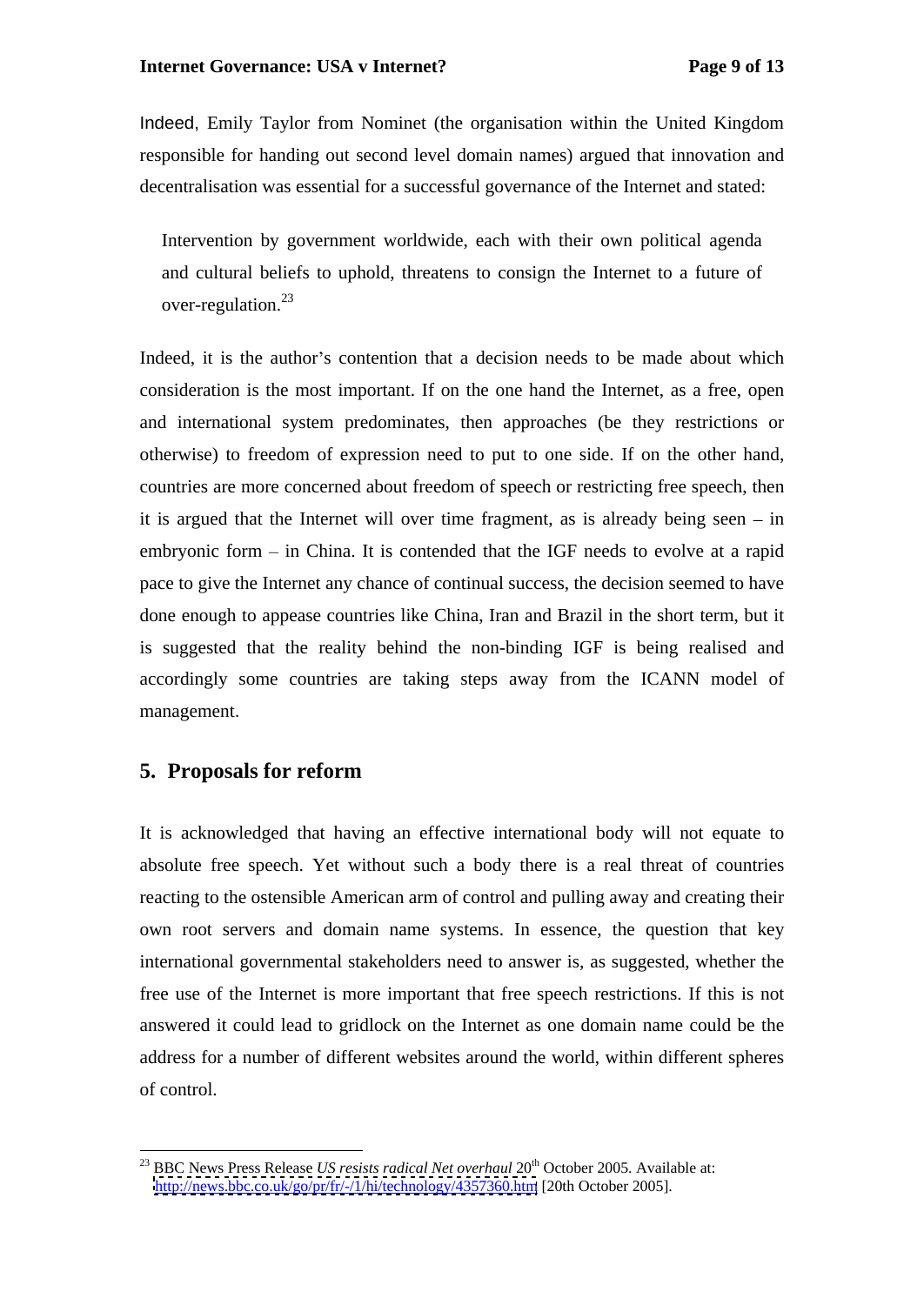Indeed, Emily Taylor from Nominet (the organisation within the United Kingdom responsible for handing out second level domain names) argued that innovation and decentralisation was essential for a successful governance of the Internet and stated:

Intervention by government worldwide, each with their own political agenda and cultural beliefs to uphold, threatens to consign the Internet to a future of over-regulation.<sup>23</sup>

Indeed, it is the author's contention that a decision needs to be made about which consideration is the most important. If on the one hand the Internet, as a free, open and international system predominates, then approaches (be they restrictions or otherwise) to freedom of expression need to put to one side. If on the other hand, countries are more concerned about freedom of speech or restricting free speech, then it is argued that the Internet will over time fragment, as is already being seen  $-$  in embryonic form  $-$  in China. It is contended that the IGF needs to evolve at a rapid pace to give the Internet any chance of continual success, the decision seemed to have done enough to appease countries like China, Iran and Brazil in the short term, but it is suggested that the reality behind the non-binding IGF is being realised and accordingly some countries are taking steps away from the ICANN model of management.

#### **5. Proposals for reform**

It is acknowledged that having an effective international body will not equate to absolute free speech. Yet without such a body there is a real threat of countries reacting to the ostensible American arm of control and pulling away and creating their own root servers and domain name systems. In essence, the question that key international governmental stakeholders need to answer is, as suggested, whether the free use of the Internet is more important that free speech restrictions. If this is not answered it could lead to gridlock on the Internet as one domain name could be the address for a number of different websites around the world, within different spheres of control.

<sup>&</sup>lt;sup>23</sup> BBC News Press Release *US resists radical Net overhaul* 20<sup>th</sup> October 2005. Available at: <http://news.bbc.co.uk/go/pr/fr/-/1/hi/technology/4357360.htm> [20th October 2005].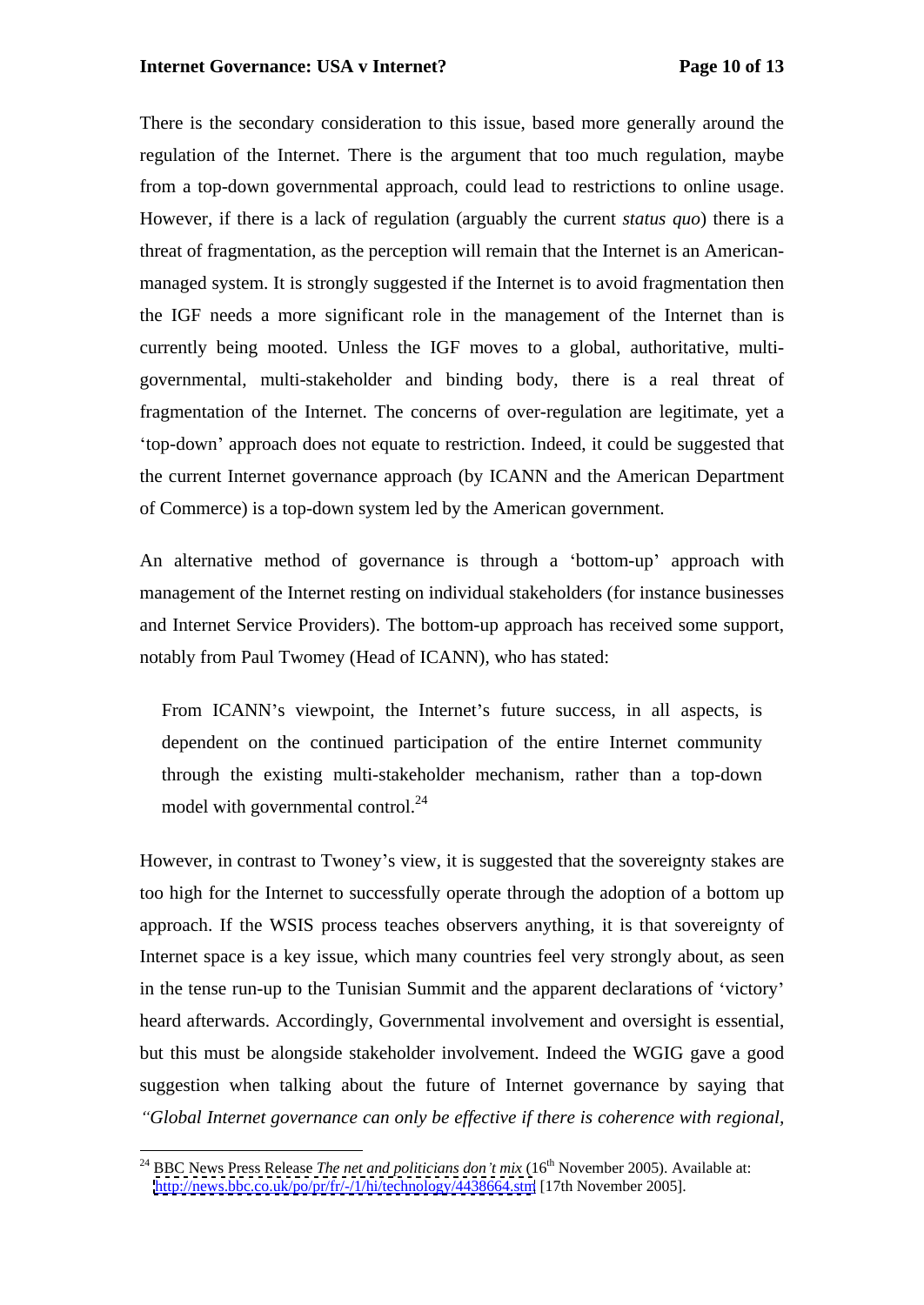#### **Internet Governance: USA v Internet?** Page 10 of 13

There is the secondary consideration to this issue, based moregenerally around the regulation of the Internet. There is the argument that too much regulation, maybe from a top-down governmental approach, could lead to restrictions to online usage. However, if there is a lack of regulation (arguably the current *status quo*) there is a threat of fragmentation, as the perception will remain that the Internet is an American managed system. It is strongly suggested if the Internet is to avoid fragmentation then the IGF needs a more significant role in the management of the Internet than is currently being mooted. Unless the IGF moves to a global, authoritative, multi governmental, multi-stakeholder and binding body, there is a real threat of fragmentation of the Internet. The concerns of over-regulation are legitimate, yet a top-down approach does not equate to restriction. Indeed, it could be suggested that the current Internet governance approach (by ICANN and the American Department of Commerce) is a top-down system led by the American government.

An alternative method of governance is through a 'bottom-up' approach with management of the Internet resting on individual stakeholders (for instance businesses and Internet Service Providers). The bottom-up approach has received some support, notably from Paul Twomey (Head of ICANN), who has stated:

From ICANN's viewpoint, the Internet's future success, in all aspects, is dependent on the continued participation of the entire Internet community through the existing multi-stakeholder mechanism, rather than a top-down model with governmental control.<sup>24</sup>

However, in contrast to Twoney's view, it is suggested that the sovereignty stakes are too high for the Internet to successfully operate through the adoption of a bottom up approach. If the WSIS process teaches observers anything, it is that sovereignty of Internet space is a key issue, which many countries feel very strongly about, as seen in the tense run-up to the Tunisian Summit and the apparent declarations of 'victory' heard afterwards. Accordingly, Governmental involvement and oversight is essential, but this must be alongside stakeholder involvement. Indeed the WGIG gave a good suggestion when talking about the future of Internet governance by saying that *Global Internet governance can only be ef ective if there is coherence with regional,*

<sup>&</sup>lt;sup>24</sup> BBC News Press Release *The net and politicians don't mix* (16<sup>th</sup> November 2005). Available at: <http://news.bbc.co.uk/po/pr/fr/-/1/hi/technology/4438664.stm> [17th November 2005].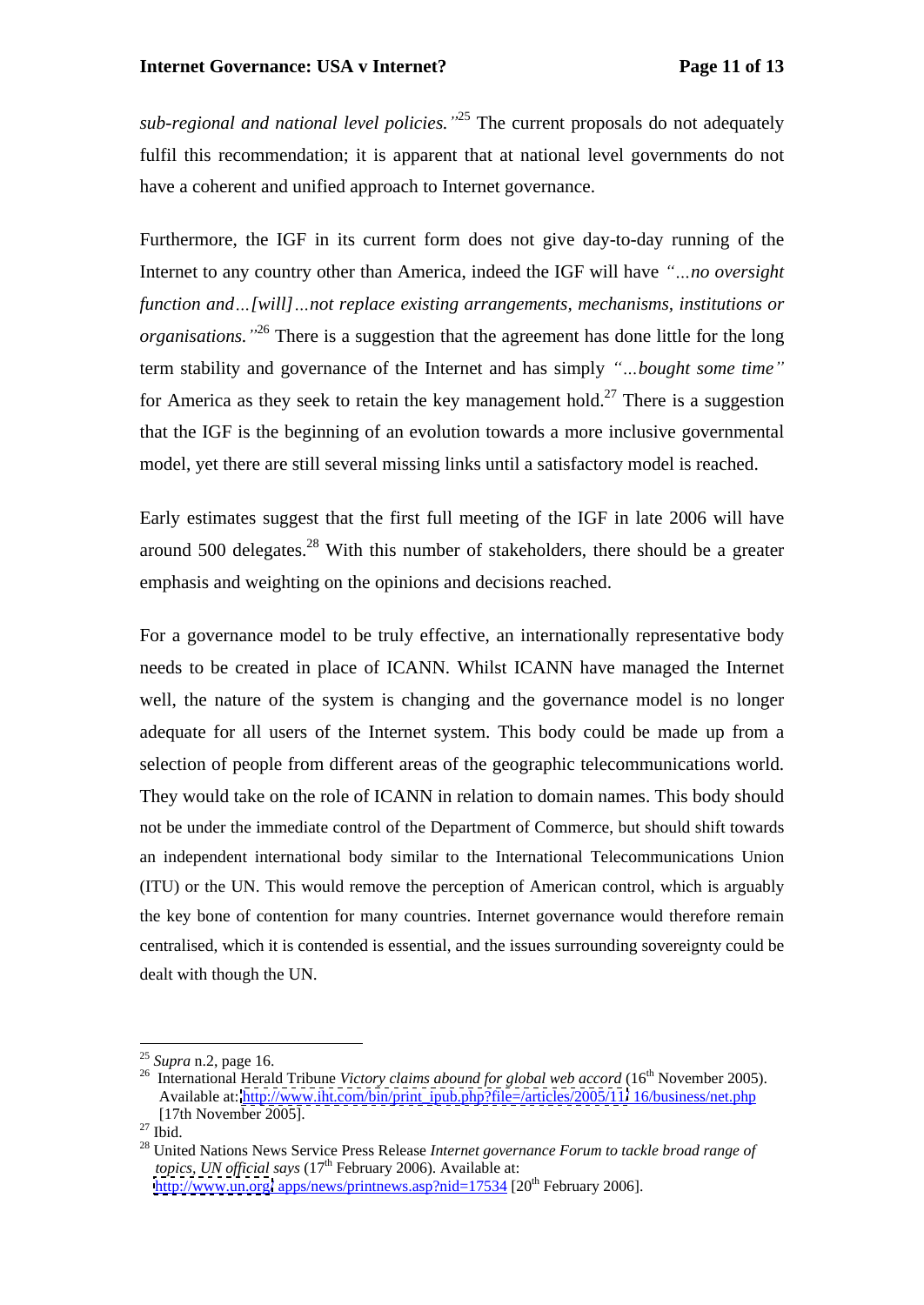*sub-regional and national level policies.* <sup>25</sup> The current proposals do not adequately fulfil this recommendation; it is apparent that at national level governments do not have a coherent and unified approach to Internet governance.

Furthermore, the IGF in its current form does not give day-to-day running of the Internet to any country other than America, indeed the IGF will have "...no oversight *function and [will] not replace existing arrangements, mechanisms, institutions or organisations.* <sup>26</sup> There is a suggestion that the agreement has done little for the long term stability and governance of the Internet and has simply "...bought some time" for America as they seek to retain the key management hold.<sup>27</sup> There is a suggestion that the IGF is the beginning of an evolution towards a more inclusive governmental model, yet there are still several missing links until a satisfactory model is reached.

Early estimates suggest that the first full meeting of the IGF in late 2006 will have around 500 delegates.<sup>28</sup> With this number of stakeholders, there should be a greater emphasis and weighting on the opinions and decisions reached.

For a governance model to be truly effective, an internationally representative body needs to be created in place of ICANN. Whilst ICANN have managed the Internet well, the nature of the system is changing and the governance model is no longer adequate for all users of the Internet system. This body could be made up from a selection of people from different areas of the geographic telecommunications world. They would take on the role of ICANN in relation to domain names. This body should not be under the immediate control of the Department of Commerce, but should shift towards an independent international body similar to the International Telecommunications Union (ITU) or the UN. This would remove the perception of American control, which is arguably the key bone of contention for many countries. Internet governance would therefore remain centralised, which it is contended is essential, and the issues surrounding sovereignty could be dealt with though the UN.

<sup>&</sup>lt;sup>25</sup> *Supra* n.2, page 16.<br><sup>26</sup> International Herald Tribune *Victory claims abound for global web accord* (16<sup>th</sup> November 2005). Available at: [http://www.iht.com/bin/print\\_ipub.php?file=/articles/2005/11/](http://www.iht.com/bin/print_ipub.php?file=/articles/2005/11/) 16/business/net.php [17th November 2005].

 <sup>[17</sup>th November 2005]. 27 Ibid. 28 United Nations News Service Press Release *Internet governance Forum to tackle broad range of topics, UN official says* (17<sup>th</sup> February 2006). Available at: <http://www.un.org/> apps/news/printnews.asp?nid=17534 [20<sup>th</sup> February 2006].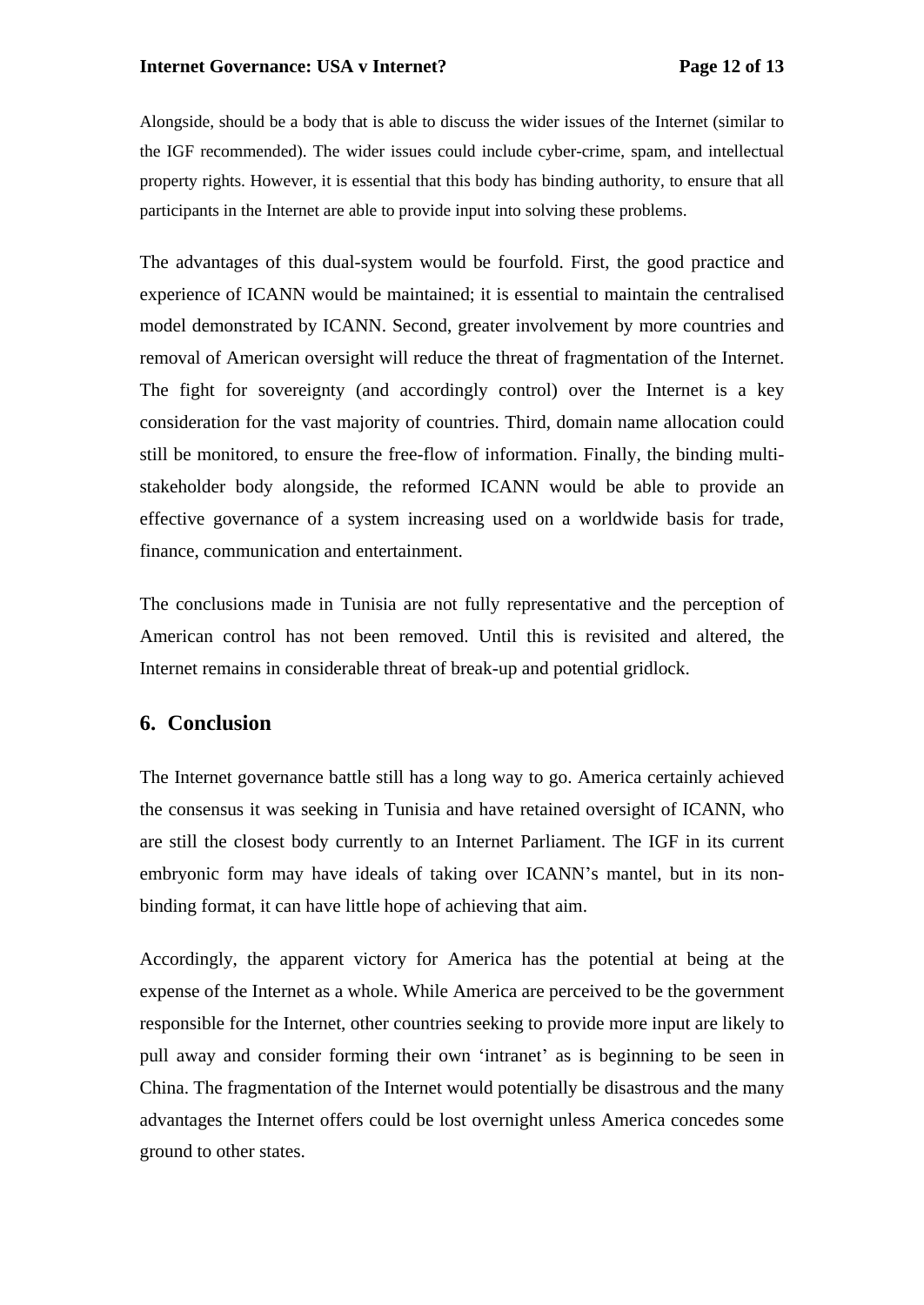Alongside, should be a body that is able to discuss the wider issues of the Internet (similar to the IGF recommended). The wider issues could include cyber-crime, spam, and intellectual property rights. However, it is essential that this body has binding authority, to ensure that all participants in the Internet are able to provide input into solving these problems.

The advantages of this dual-system would be fourfold. First, the good practice and experience of ICANN would be maintained; it is essential to maintain the centralised model demonstrated by ICANN. Second, greater involvement by more countries and removal of American oversight will reduce the threat of fragmentation of the Internet. The fight for sovereignty (and accordingly control) over the Internet is a key consideration for the vast majority of countries. Third, domain name allocation could still be monitored, to ensure the free-flow of information. Finally, the binding multi stakeholder body alongside, the reformed ICANN would be able to provide an effective governance of a system increasing used on a worldwide basis for trade, finance, communication and entertainment.

The conclusions made in Tunisia are not fully representative and the perception of American control has not been removed. Until this is revisited and altered, the Internet remains in considerable threat of break-up and potential gridlock.

#### **6. Conclusion**

The Internet governance battle still has a long way to go. America certainly achieved the consensus it was seeking in Tunisia and have retained oversight of ICANN, who are still the closest body currently to an Internet Parliament. The IGF in its current embryonic form may have ideals of taking over ICANN's mantel, but in its nonbinding format, it can have little hope of achieving that aim.

Accordingly, the apparent victory for America has the potential at being at the expense of the Internet as a whole. While America are perceived to be the government responsible for the Internet, other countries seeking to provide more input are likely to pull away and consider forming their own 'intranet' as is beginning to be seen in China. The fragmentation of the Internet would potentially be disastrous and the many advantages the Internet offers could be lost overnight unless America concedes some ground to other states.